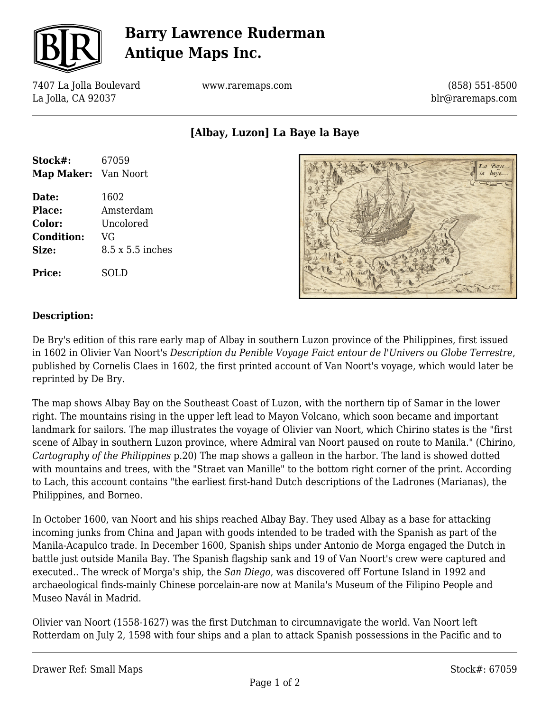

# **Barry Lawrence Ruderman Antique Maps Inc.**

7407 La Jolla Boulevard La Jolla, CA 92037

www.raremaps.com

(858) 551-8500 blr@raremaps.com

**[Albay, Luzon] La Baye la Baye**

| Stock#:              | 67059            |
|----------------------|------------------|
| Map Maker: Van Noort |                  |
| Date:                | 1602             |
| Place:               | Amsterdam        |
| Color:               | Uncolored        |
| <b>Condition:</b>    | VG               |
| Size:                | 8.5 x 5.5 inches |
| <b>Price:</b>        | SOLD             |



### **Description:**

De Bry's edition of this rare early map of Albay in southern Luzon province of the Philippines, first issued in 1602 in Olivier Van Noort's *Description du Penible Voyage Faict entour de l'Univers ou Globe Terrestre*, published by Cornelis Claes in 1602, the first printed account of Van Noort's voyage, which would later be reprinted by De Bry.

The map shows Albay Bay on the Southeast Coast of Luzon, with the northern tip of Samar in the lower right. The mountains rising in the upper left lead to Mayon Volcano, which soon became and important landmark for sailors. The map illustrates the voyage of Olivier van Noort, which Chirino states is the "first scene of Albay in southern Luzon province, where Admiral van Noort paused on route to Manila." (Chirino, *Cartography of the Philippines* p.20) The map shows a galleon in the harbor. The land is showed dotted with mountains and trees, with the "Straet van Manille" to the bottom right corner of the print. According to Lach, this account contains "the earliest first-hand Dutch descriptions of the Ladrones (Marianas), the Philippines, and Borneo.

In October 1600, van Noort and his ships reached Albay Bay. They used Albay as a base for attacking incoming junks from China and Japan with goods intended to be traded with the Spanish as part of the Manila-Acapulco trade. In December 1600, Spanish ships under Antonio de Morga engaged the Dutch in battle just outside Manila Bay. The Spanish flagship sank and 19 of Van Noort's crew were captured and executed.. The wreck of Morga's ship, the *San Diego*, was discovered off Fortune Island in 1992 and archaeological finds-mainly Chinese porcelain-are now at Manila's Museum of the Filipino People and Museo Navál in Madrid.

Olivier van Noort (1558-1627) was the first Dutchman to circumnavigate the world. Van Noort left Rotterdam on July 2, 1598 with four ships and a plan to attack Spanish possessions in the Pacific and to